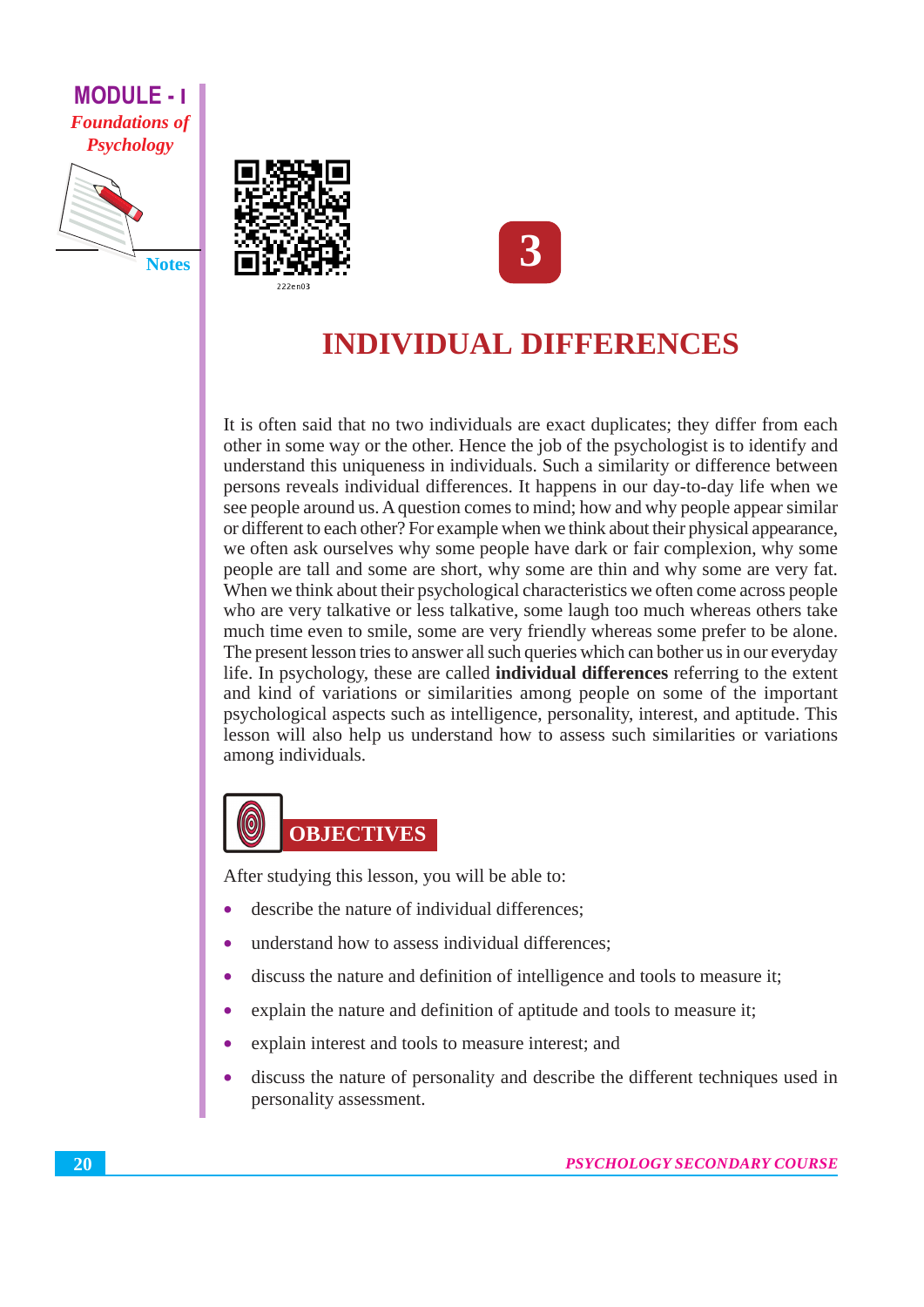#### **MODULE - I Foundations of Psychology**







# **INDIVIDUAL DIFFERENCES**

It is often said that no two individuals are exact duplicates; they differ from each other in some way or the other. Hence the job of the psychologist is to identify and understand this uniqueness in individuals. Such a similarity or difference between persons reveals individual differences. It happens in our day-to-day life when we see people around us. A question comes to mind; how and why people appear similar or different to each other? For example when we think about their physical appearance, we often ask ourselves why some people have dark or fair complexion, why some people are tall and some are short, why some are thin and why some are very fat. When we think about their psychological characteristics we often come across people who are very talkative or less talkative, some laugh too much whereas others take much time even to smile, some are very friendly whereas some prefer to be alone. The present lesson tries to answer all such queries which can bother us in our everyday life. In psychology, these are called **individual differences** referring to the extent and kind of variations or similarities among people on some of the important psychological aspects such as intelligence, personality, interest, and aptitude. This lesson will also help us understand how to assess such similarities or variations among individuals.

# **OBJECTIVES**

After studying this lesson, you will be able to:

- describe the nature of individual differences:
- understand how to assess individual differences;
- discuss the nature and definition of intelligence and tools to measure it;
- explain the nature and definition of aptitude and tools to measure it;
- explain interest and tools to measure interest; and
- discuss the nature of personality and describe the different techniques used in personality assessment.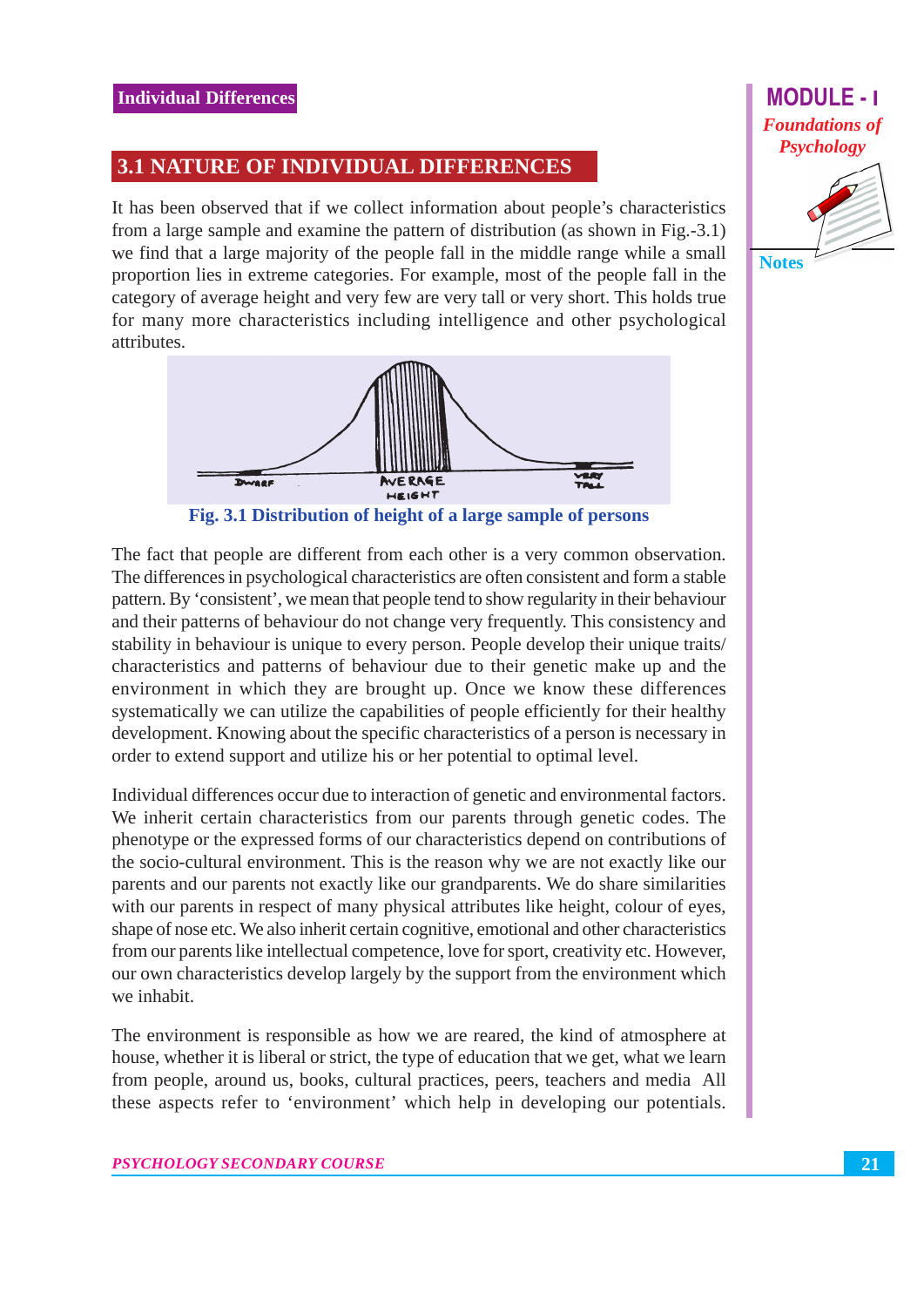#### **3.1 NATURE OF INDIVIDUAL DIFFERENCES**

It has been observed that if we collect information about people's characteristics from a large sample and examine the pattern of distribution (as shown in Fig.  $-3.1$ ) we find that a large majority of the people fall in the middle range while a small proportion lies in extreme categories. For example, most of the people fall in the category of average height and very few are very tall or very short. This holds true for many more characteristics including intelligence and other psychological attributes.



Fig. 3.1 Distribution of height of a large sample of persons

The fact that people are different from each other is a very common observation. The differences in psychological characteristics are often consistent and form a stable pattern. By 'consistent', we mean that people tend to show regularity in their behaviour and their patterns of behaviour do not change very frequently. This consistency and stability in behaviour is unique to every person. People develop their unique traits/ characteristics and patterns of behaviour due to their genetic make up and the environment in which they are brought up. Once we know these differences systematically we can utilize the capabilities of people efficiently for their healthy development. Knowing about the specific characteristics of a person is necessary in order to extend support and utilize his or her potential to optimal level.

Individual differences occur due to interaction of genetic and environmental factors. We inherit certain characteristics from our parents through genetic codes. The phenotype or the expressed forms of our characteristics depend on contributions of the socio-cultural environment. This is the reason why we are not exactly like our parents and our parents not exactly like our grandparents. We do share similarities with our parents in respect of many physical attributes like height, colour of eyes, shape of nose etc. We also inherit certain cognitive, emotional and other characteristics from our parents like intellectual competence, love for sport, creativity etc. However, our own characteristics develop largely by the support from the environment which we inhabit.

The environment is responsible as how we are reared, the kind of atmosphere at house, whether it is liberal or strict, the type of education that we get, what we learn from people, around us, books, cultural practices, peers, teachers and media All these aspects refer to 'environment' which help in developing our potentials.

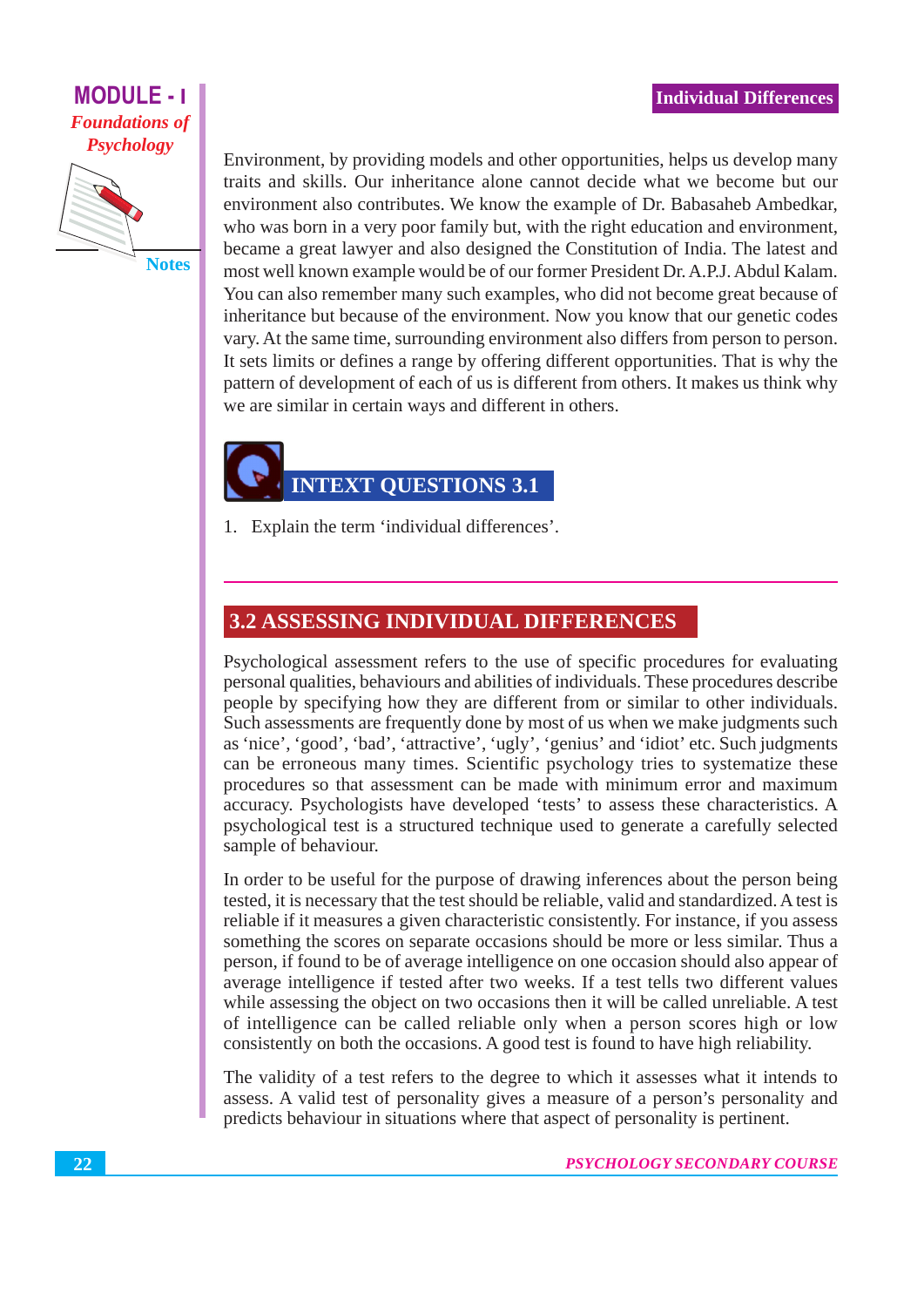#### **MODULE - 1 Foundations of Psychology**

**Notes** 

Environment, by providing models and other opportunities, helps us develop many traits and skills. Our inheritance alone cannot decide what we become but our environment also contributes. We know the example of Dr. Babasaheb Ambedkar, who was born in a very poor family but, with the right education and environment, became a great lawyer and also designed the Constitution of India. The latest and most well known example would be of our former President Dr. A.P.J. Abdul Kalam. You can also remember many such examples, who did not become great because of inheritance but because of the environment. Now you know that our genetic codes vary. At the same time, surrounding environment also differs from person to person. It sets limits or defines a range by offering different opportunities. That is why the pattern of development of each of us is different from others. It makes us think why we are similar in certain ways and different in others.

# **INTEXT OUESTIONS 3.1**

1. Explain the term 'individual differences'.

#### **3.2 ASSESSING INDIVIDUAL DIFFERENCES**

Psychological assessment refers to the use of specific procedures for evaluating personal qualities, behaviours and abilities of individuals. These procedures describe people by specifying how they are different from or similar to other individuals. Such assessments are frequently done by most of us when we make judgments such as 'nice', 'good', 'bad', 'attractive', 'ugly', 'genius' and 'idiot' etc. Such judgments can be erroneous many times. Scientific psychology tries to systematize these procedures so that assessment can be made with minimum error and maximum accuracy. Psychologists have developed 'tests' to assess these characteristics. A psychological test is a structured technique used to generate a carefully selected sample of behaviour.

In order to be useful for the purpose of drawing inferences about the person being tested, it is necessary that the test should be reliable, valid and standardized. A test is reliable if it measures a given characteristic consistently. For instance, if you assess something the scores on separate occasions should be more or less similar. Thus a person, if found to be of average intelligence on one occasion should also appear of average intelligence if tested after two weeks. If a test tells two different values while assessing the object on two occasions then it will be called unreliable. A test of intelligence can be called reliable only when a person scores high or low consistently on both the occasions. A good test is found to have high reliability.

The validity of a test refers to the degree to which it assesses what it intends to assess. A valid test of personality gives a measure of a person's personality and predicts behaviour in situations where that aspect of personality is pertinent.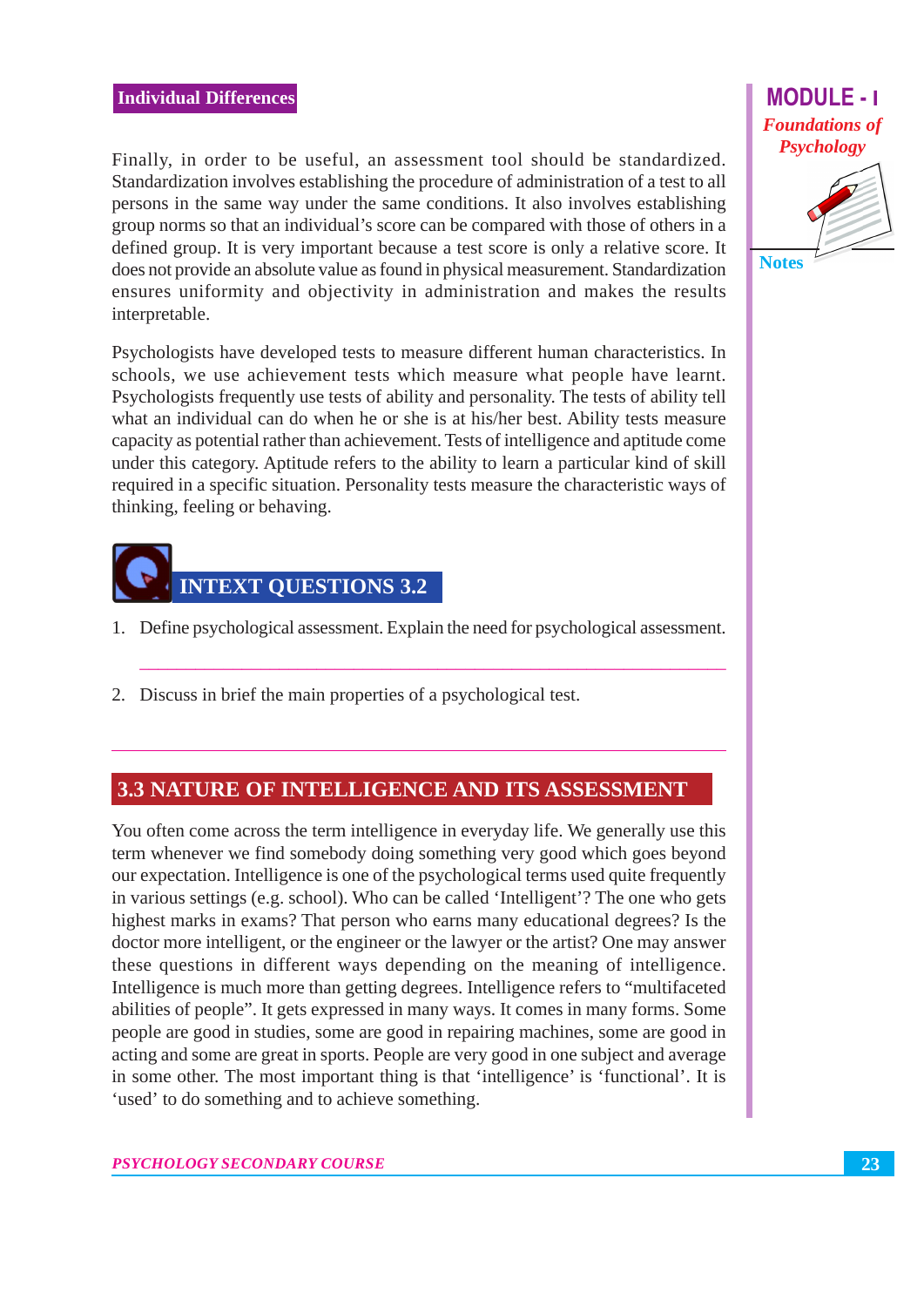#### **Individual Differences**

Finally, in order to be useful, an assessment tool should be standardized. Standardization involves establishing the procedure of administration of a test to all persons in the same way under the same conditions. It also involves establishing group norms so that an individual's score can be compared with those of others in a defined group. It is very important because a test score is only a relative score. It does not provide an absolute value as found in physical measurement. Standardization ensures uniformity and objectivity in administration and makes the results interpretable.

Psychologists have developed tests to measure different human characteristics. In schools, we use achievement tests which measure what people have learnt. Psychologists frequently use tests of ability and personality. The tests of ability tell what an individual can do when he or she is at his/her best. Ability tests measure capacity as potential rather than achievement. Tests of intelligence and aptitude come under this category. Aptitude refers to the ability to learn a particular kind of skill required in a specific situation. Personality tests measure the characteristic ways of thinking, feeling or behaving.



- 1. Define psychological assessment. Explain the need for psychological assessment.
- 2. Discuss in brief the main properties of a psychological test.

#### **3.3 NATURE OF INTELLIGENCE AND ITS ASSESSMENT**

You often come across the term intelligence in everyday life. We generally use this term whenever we find somebody doing something very good which goes beyond our expectation. Intelligence is one of the psychological terms used quite frequently in various settings (e.g. school). Who can be called 'Intelligent'? The one who gets highest marks in exams? That person who earns many educational degrees? Is the doctor more intelligent, or the engineer or the lawyer or the artist? One may answer these questions in different ways depending on the meaning of intelligence. Intelligence is much more than getting degrees. Intelligence refers to "multifaceted" abilities of people". It gets expressed in many ways. It comes in many forms. Some people are good in studies, some are good in repairing machines, some are good in acting and some are great in sports. People are very good in one subject and average in some other. The most important thing is that 'intelligence' is 'functional'. It is 'used' to do something and to achieve something.

**MODULE-1 Foundations of Psychology**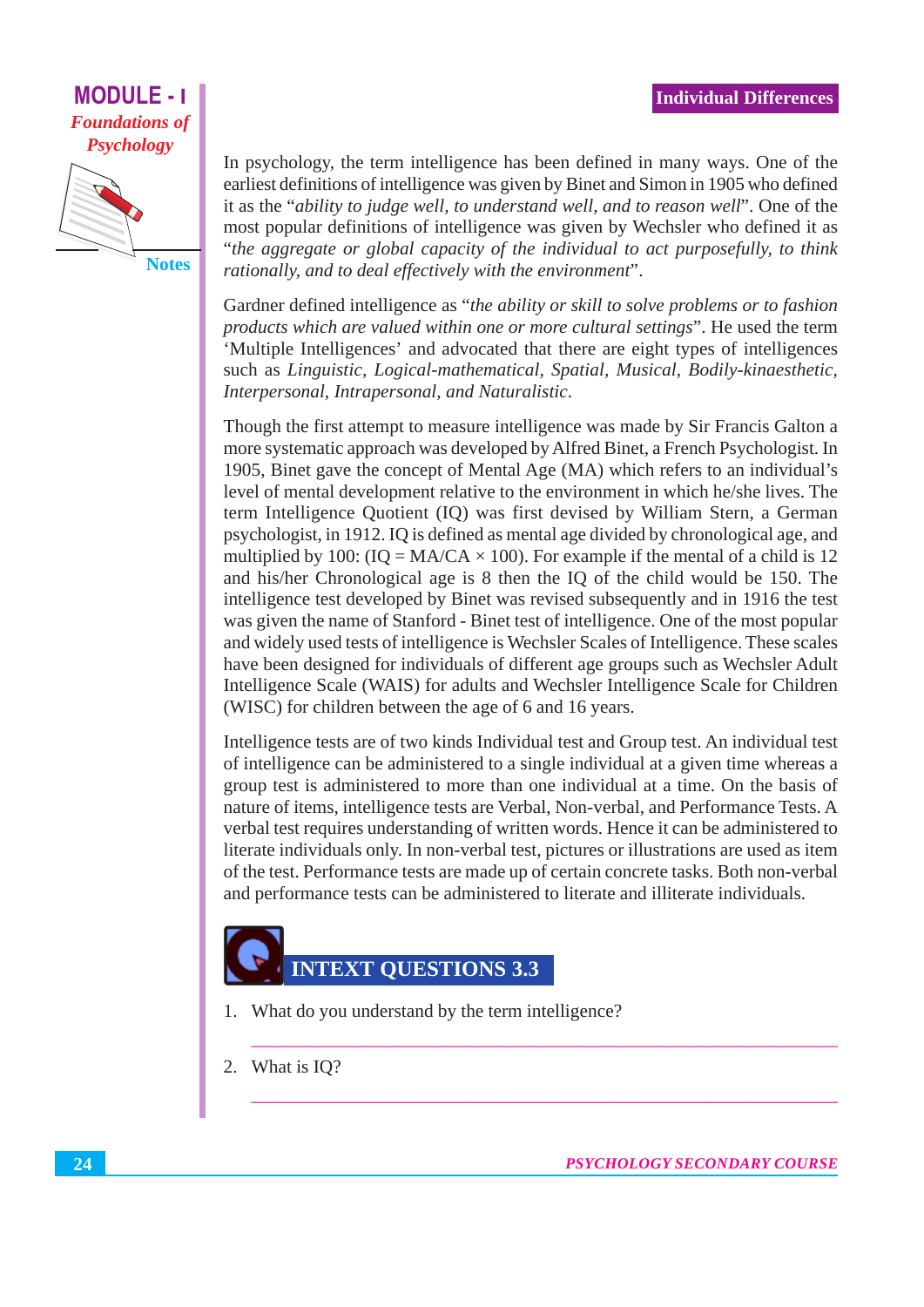#### **MODULE -Foundations of Psychology**



In psychology, the term intelligence has been defined in many ways. One of the earliest definitions of intelligence was given by Binet and Simon in 1905 who defined it as the "ability to judge well, to understand well, and to reason well". One of the most popular definitions of intelligence was given by Wechsler who defined it as "the aggregate or global capacity of the individual to act purposefully, to think rationally, and to deal effectively with the environment".

Gardner defined intelligence as "the ability or skill to solve problems or to fashion products which are valued within one or more cultural settings". He used the term 'Multiple Intelligences' and advocated that there are eight types of intelligences such as Linguistic, Logical-mathematical, Spatial, Musical, Bodily-kinaesthetic, Interpersonal, Intrapersonal, and Naturalistic.

Though the first attempt to measure intelligence was made by Sir Francis Galton a more systematic approach was developed by Alfred Binet, a French Psychologist. In 1905. Binet gave the concept of Mental Age (MA) which refers to an individual's level of mental development relative to the environment in which he/she lives. The term Intelligence Quotient (IQ) was first devised by William Stern, a German psychologist, in 1912. IQ is defined as mental age divided by chronological age, and multiplied by 100:  $(IQ = MA/CA \times 100)$ . For example if the mental of a child is 12 and his/her Chronological age is 8 then the IQ of the child would be 150. The intelligence test developed by Binet was revised subsequently and in 1916 the test was given the name of Stanford - Binet test of intelligence. One of the most popular and widely used tests of intelligence is Wechsler Scales of Intelligence. These scales have been designed for individuals of different age groups such as Wechsler Adult Intelligence Scale (WAIS) for adults and Wechsler Intelligence Scale for Children (WISC) for children between the age of 6 and 16 years.

Intelligence tests are of two kinds Individual test and Group test. An individual test of intelligence can be administered to a single individual at a given time whereas a group test is administered to more than one individual at a time. On the basis of nature of items, intelligence tests are Verbal, Non-verbal, and Performance Tests. A verbal test requires understanding of written words. Hence it can be administered to literate individuals only. In non-verbal test, pictures or illustrations are used as item of the test. Performance tests are made up of certain concrete tasks. Both non-verbal and performance tests can be administered to literate and illiterate individuals.

### **INTEXT QUESTIONS 3.3**

- 1. What do you understand by the term intelligence?
- What is IO? 2.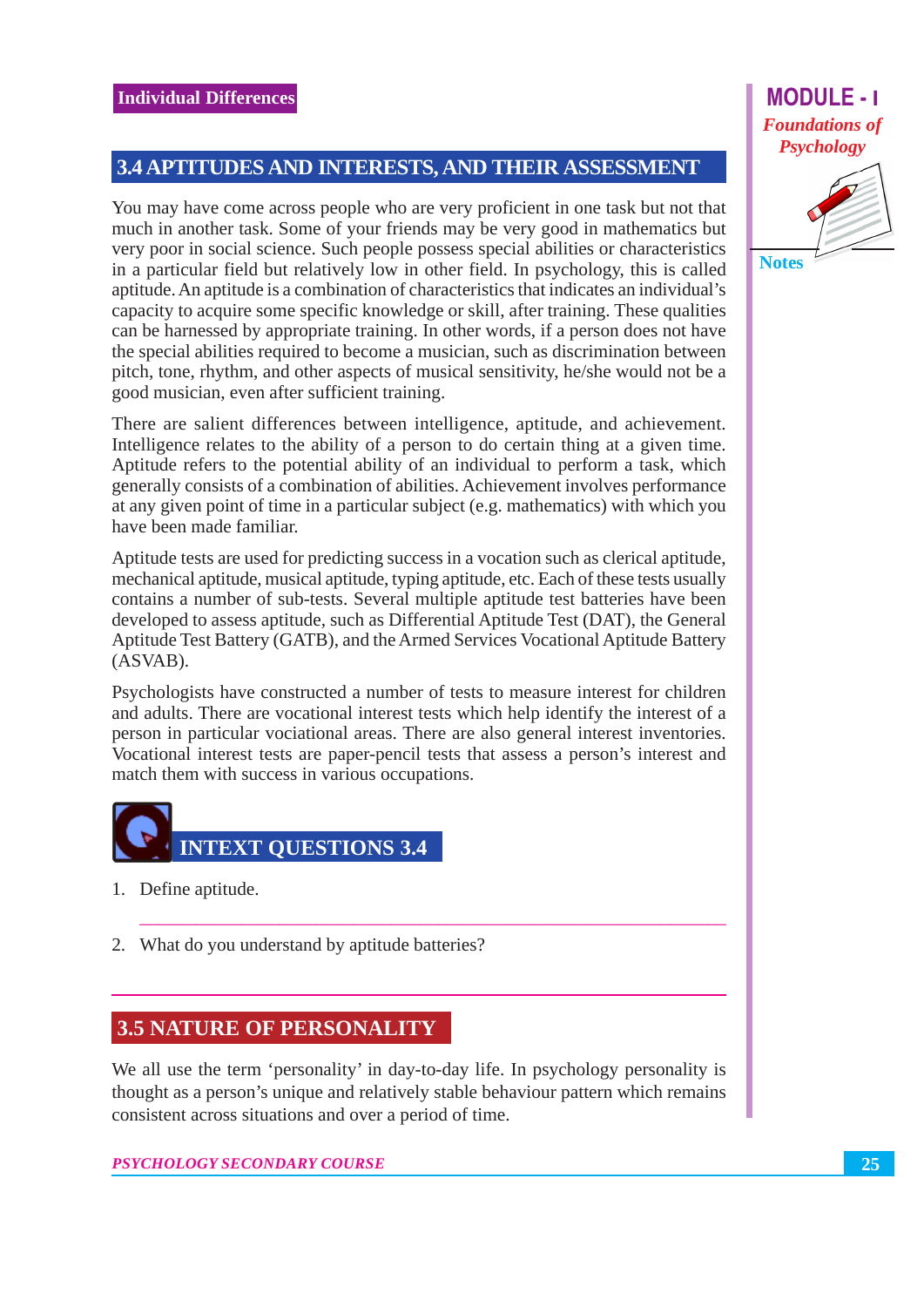#### 3.4 APTITUDES AND INTERESTS, AND THEIR ASSESSMENT

You may have come across people who are very proficient in one task but not that much in another task. Some of your friends may be very good in mathematics but very poor in social science. Such people possess special abilities or characteristics in a particular field but relatively low in other field. In psychology, this is called aptitude. An aptitude is a combination of characteristics that indicates an individual's capacity to acquire some specific knowledge or skill, after training. These qualities can be harnessed by appropriate training. In other words, if a person does not have the special abilities required to become a musician, such as discrimination between pitch, tone, rhythm, and other aspects of musical sensitivity, he/she would not be a good musician, even after sufficient training.

There are salient differences between intelligence, aptitude, and achievement. Intelligence relates to the ability of a person to do certain thing at a given time. Aptitude refers to the potential ability of an individual to perform a task, which generally consists of a combination of abilities. Achievement involves performance at any given point of time in a particular subject (e.g. mathematics) with which you have been made familiar.

Aptitude tests are used for predicting success in a vocation such as clerical aptitude, mechanical aptitude, musical aptitude, typing aptitude, etc. Each of these tests usually contains a number of sub-tests. Several multiple aptitude test batteries have been developed to assess aptitude, such as Differential Aptitude Test (DAT), the General Aptitude Test Battery (GATB), and the Armed Services Vocational Aptitude Battery  $(ASVAB)$ .

Psychologists have constructed a number of tests to measure interest for children and adults. There are vocational interest tests which help identify the interest of a person in particular vociational areas. There are also general interest inventories. Vocational interest tests are paper-pencil tests that assess a person's interest and match them with success in various occupations.



- 1. Define aptitude.
- 2. What do you understand by aptitude batteries?

#### **3.5 NATURE OF PERSONALITY**

We all use the term 'personality' in day-to-day life. In psychology personality is thought as a person's unique and relatively stable behaviour pattern which remains consistent across situations and over a period of time.

PSYCHOLOGY SECONDARY COURSE

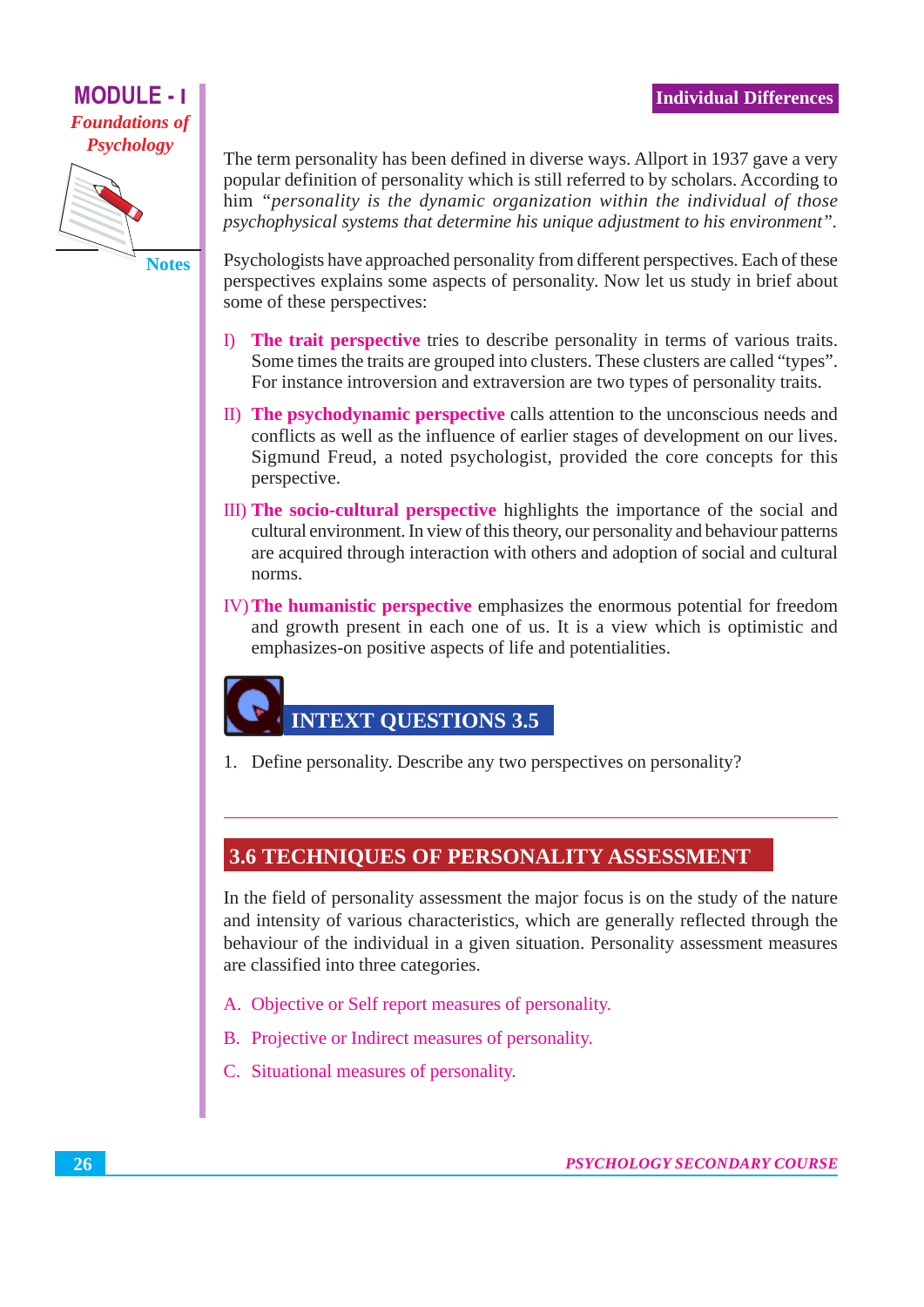#### **Individual Differences**

#### **MODULE - I Foundations of Psychology**



The term personality has been defined in diverse ways. Allport in 1937 gave a very popular definition of personality which is still referred to by scholars. According to him "personality is the dynamic organization within the individual of those psychophysical systems that determine his unique adjustment to his environment".

Psychologists have approached personality from different perspectives. Each of these perspectives explains some aspects of personality. Now let us study in brief about some of these perspectives:

- I) The trait perspective tries to describe personality in terms of various traits. Some times the traits are grouped into clusters. These clusters are called "types". For instance introversion and extraversion are two types of personality traits.
- II) The psychodynamic perspective calls attention to the unconscious needs and conflicts as well as the influence of earlier stages of development on our lives. Sigmund Freud, a noted psychologist, provided the core concepts for this perspective.
- III) The socio-cultural perspective highlights the importance of the social and cultural environment. In view of this theory, our personality and behaviour patterns are acquired through interaction with others and adoption of social and cultural norms.
- IV) The humanistic perspective emphasizes the enormous potential for freedom and growth present in each one of us. It is a view which is optimistic and emphasizes-on positive aspects of life and potentialities.

# **INTEXT QUESTIONS 3.5**

1. Define personality. Describe any two perspectives on personality?

#### **3.6 TECHNIQUES OF PERSONALITY ASSESSMENT**

In the field of personality assessment the major focus is on the study of the nature and intensity of various characteristics, which are generally reflected through the behaviour of the individual in a given situation. Personality assessment measures are classified into three categories.

- A. Objective or Self report measures of personality.
- B. Projective or Indirect measures of personality.
- C. Situational measures of personality.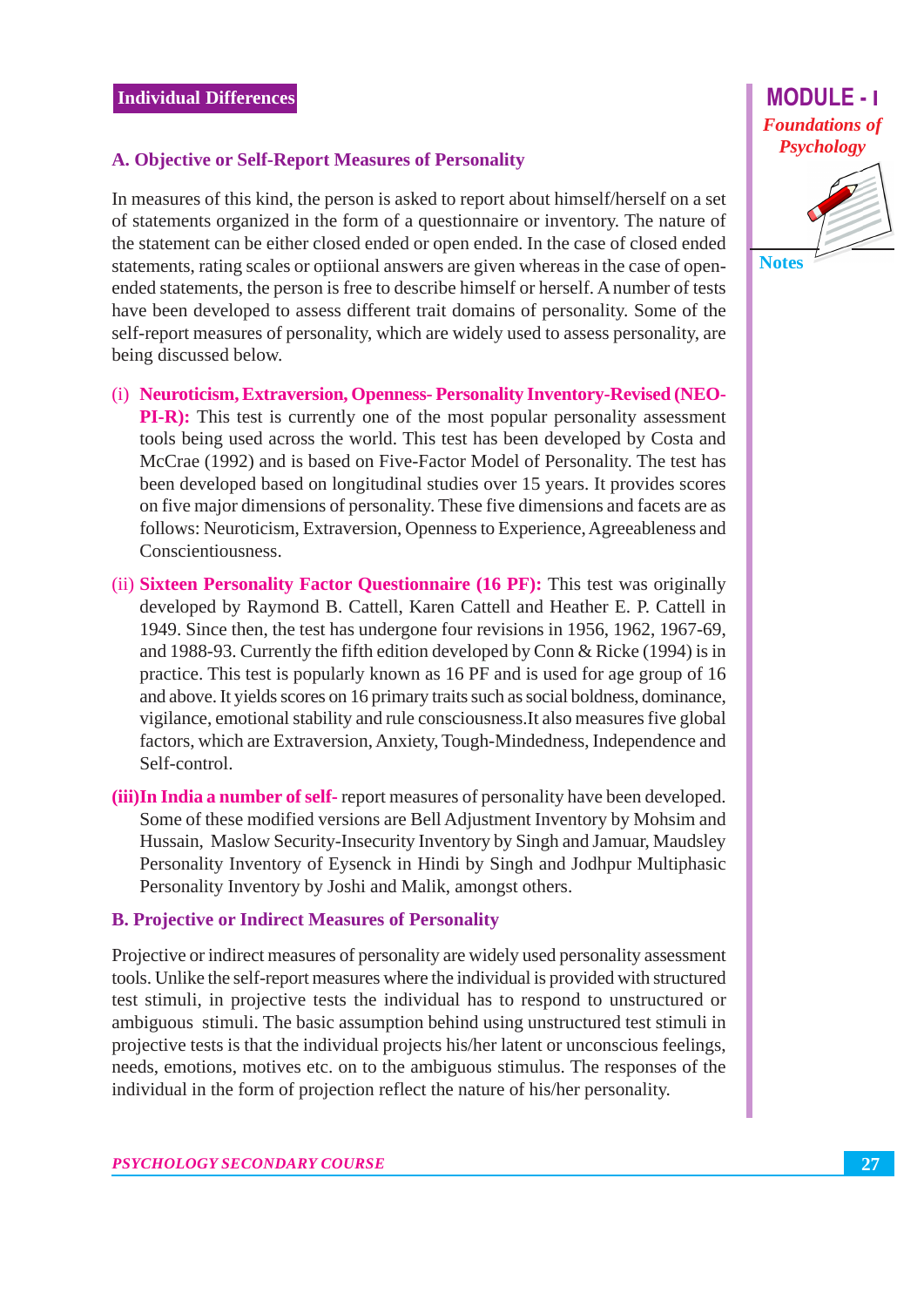#### A. Objective or Self-Report Measures of Personality

In measures of this kind, the person is asked to report about himself/herself on a set of statements organized in the form of a questionnaire or inventory. The nature of the statement can be either closed ended or open ended. In the case of closed ended statements, rating scales or optiional answers are given whereas in the case of openended statements, the person is free to describe himself or herself. A number of tests have been developed to assess different trait domains of personality. Some of the self-report measures of personality, which are widely used to assess personality, are being discussed below.

- (i) Neuroticism, Extraversion, Openness-Personality Inventory-Revised (NEO-**PI-R**): This test is currently one of the most popular personality assessment tools being used across the world. This test has been developed by Costa and McCrae (1992) and is based on Five-Factor Model of Personality. The test has been developed based on longitudinal studies over 15 years. It provides scores on five major dimensions of personality. These five dimensions and facets are as follows: Neuroticism, Extraversion, Openness to Experience, Agreeableness and Conscientiousness.
- (ii) Sixteen Personality Factor Questionnaire (16 PF): This test was originally developed by Raymond B. Cattell, Karen Cattell and Heather E. P. Cattell in 1949. Since then, the test has undergone four revisions in 1956, 1962, 1967-69, and 1988-93. Currently the fifth edition developed by Conn & Ricke  $(1994)$  is in practice. This test is popularly known as 16 PF and is used for age group of 16 and above. It yields scores on 16 primary traits such as social boldness, dominance, vigilance, emotional stability and rule consciousness. It also measures five global factors, which are Extraversion, Anxiety, Tough-Mindedness, Independence and Self-control.
- (iii) In India a number of self-report measures of personality have been developed. Some of these modified versions are Bell Adjustment Inventory by Mohsim and Hussain, Maslow Security-Insecurity Inventory by Singh and Jamuar, Maudsley Personality Inventory of Eysenck in Hindi by Singh and Jodhpur Multiphasic Personality Inventory by Joshi and Malik, amongst others.

#### **B. Projective or Indirect Measures of Personality**

Projective or indirect measures of personality are widely used personality assessment tools. Unlike the self-report measures where the individual is provided with structured test stimuli, in projective tests the individual has to respond to unstructured or ambiguous stimuli. The basic assumption behind using unstructured test stimuli in projective tests is that the individual projects his/her latent or unconscious feelings, needs, emotions, motives etc. on to the ambiguous stimulus. The responses of the individual in the form of projection reflect the nature of his/her personality.

**MODULE - I**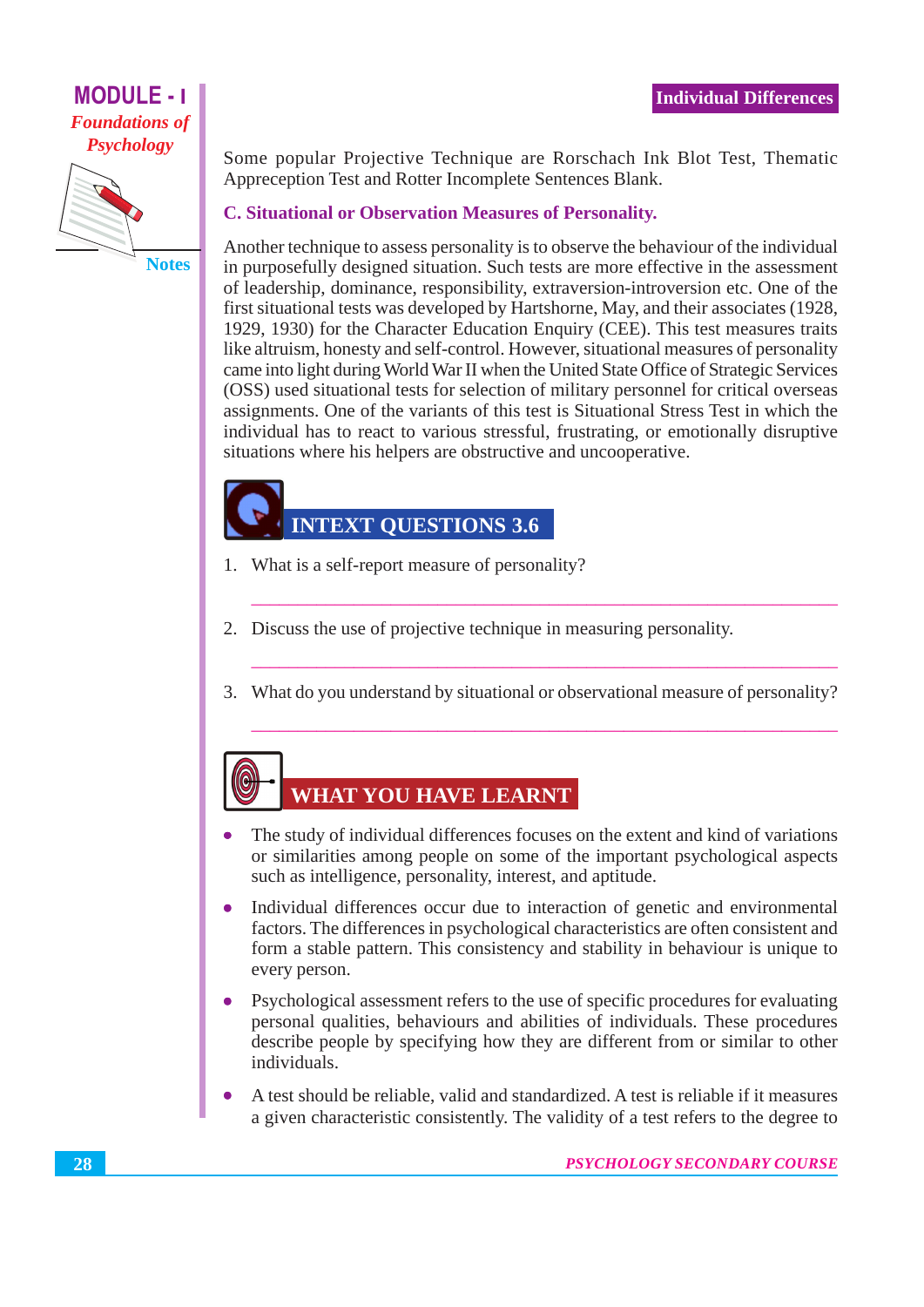#### **MODULE - I Foundations of Psychology**



Some popular Projective Technique are Rorschach Ink Blot Test, Thematic Appreception Test and Rotter Incomplete Sentences Blank.

#### **C. Situational or Observation Measures of Personality.**

Another technique to assess personality is to observe the behaviour of the individual in purposefully designed situation. Such tests are more effective in the assessment of leadership, dominance, responsibility, extraversion-introversion etc. One of the first situational tests was developed by Hartshorne, May, and their associates (1928, 1929, 1930) for the Character Education Enquiry (CEE). This test measures traits like altruism, honesty and self-control. However, situational measures of personality came into light during World War II when the United State Office of Strategic Services (OSS) used situational tests for selection of military personnel for critical overseas assignments. One of the variants of this test is Situational Stress Test in which the individual has to react to various stressful, frustrating, or emotionally disruptive situations where his helpers are obstructive and uncooperative.

#### **INTEXT QUESTIONS 3.6**

- 1. What is a self-report measure of personality?
- 2. Discuss the use of projective technique in measuring personality.
- 3. What do you understand by situational or observational measure of personality?

# **WHAT YOU HAVE LEARNT**

- The study of individual differences focuses on the extent and kind of variations or similarities among people on some of the important psychological aspects such as intelligence, personality, interest, and aptitude.
- Individual differences occur due to interaction of genetic and environmental factors. The differences in psychological characteristics are often consistent and form a stable pattern. This consistency and stability in behaviour is unique to every person.
- Psychological assessment refers to the use of specific procedures for evaluating personal qualities, behaviours and abilities of individuals. These procedures describe people by specifying how they are different from or similar to other individuals.
- A test should be reliable, valid and standardized. A test is reliable if it measures a given characteristic consistently. The validity of a test refers to the degree to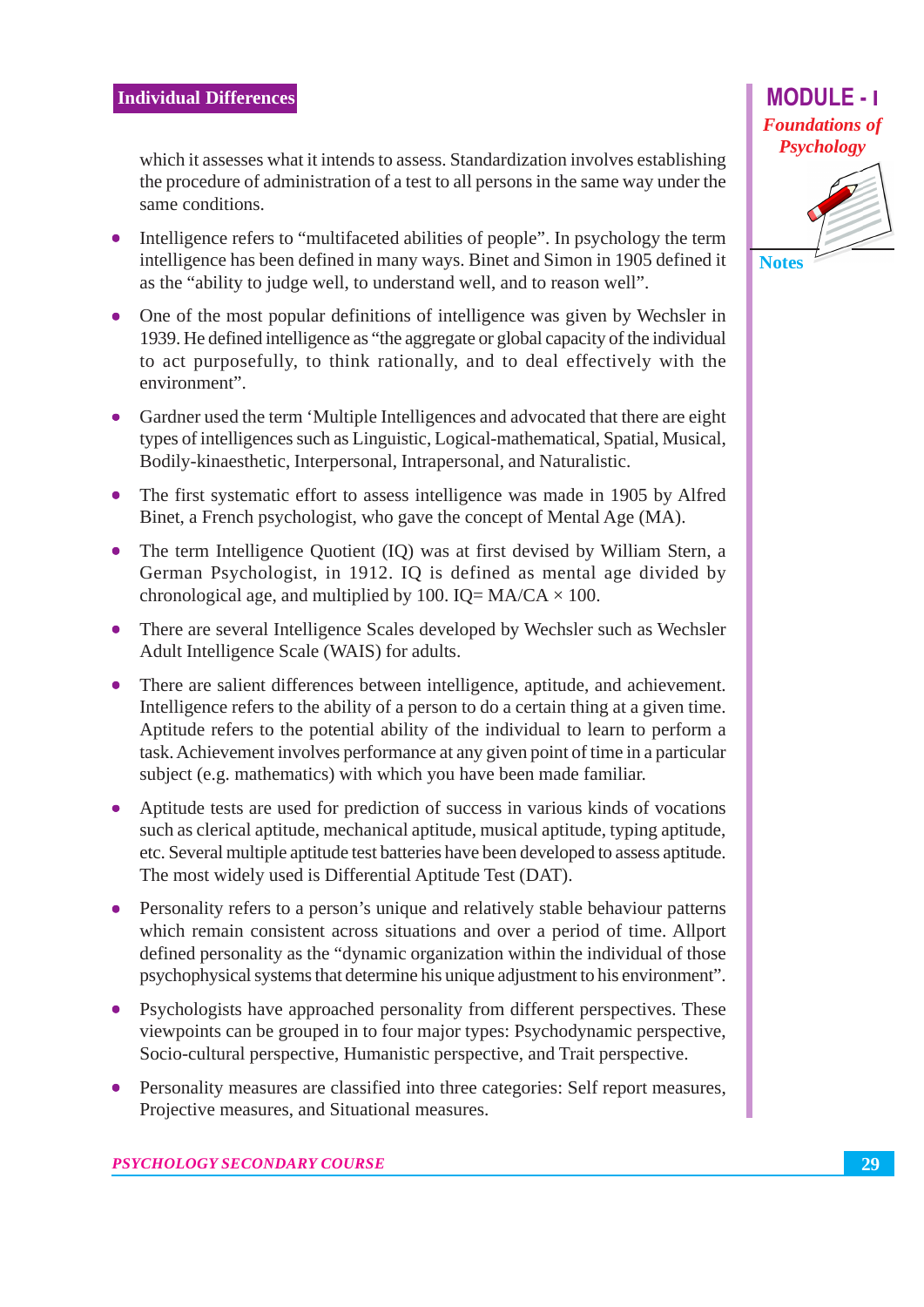which it assesses what it intends to assess. Standardization involves establishing the procedure of administration of a test to all persons in the same way under the same conditions.

- Intelligence refers to "multifaceted abilities of people". In psychology the term intelligence has been defined in many ways. Binet and Simon in 1905 defined it as the "ability to judge well, to understand well, and to reason well".
- One of the most popular definitions of intelligence was given by Wechsler in  $\bullet$ 1939. He defined intelligence as "the aggregate or global capacity of the individual to act purposefully, to think rationally, and to deal effectively with the environment".
- Gardner used the term 'Multiple Intelligences and advocated that there are eight types of intelligences such as Linguistic, Logical-mathematical, Spatial, Musical, Bodily-kinaesthetic, Interpersonal, Intrapersonal, and Naturalistic.
- The first systematic effort to assess intelligence was made in 1905 by Alfred Binet, a French psychologist, who gave the concept of Mental Age (MA).
- The term Intelligence Quotient (IQ) was at first devised by William Stern, a German Psychologist, in 1912. IQ is defined as mental age divided by chronological age, and multiplied by 100. IQ=  $MA/CA \times 100$ .
- There are several Intelligence Scales developed by Wechsler such as Wechsler Adult Intelligence Scale (WAIS) for adults.
- There are salient differences between intelligence, aptitude, and achievement. Intelligence refers to the ability of a person to do a certain thing at a given time. Aptitude refers to the potential ability of the individual to learn to perform a task. Achievement involves performance at any given point of time in a particular subject (e.g. mathematics) with which you have been made familiar.
- Aptitude tests are used for prediction of success in various kinds of vocations such as clerical aptitude, mechanical aptitude, musical aptitude, typing aptitude, etc. Several multiple aptitude test batteries have been developed to assess aptitude. The most widely used is Differential Aptitude Test (DAT).
- Personality refers to a person's unique and relatively stable behaviour patterns  $\bullet$ which remain consistent across situations and over a period of time. Allport defined personality as the "dynamic organization within the individual of those psychophysical systems that determine his unique adjustment to his environment".
- Psychologists have approached personality from different perspectives. These viewpoints can be grouped in to four major types: Psychodynamic perspective, Socio-cultural perspective, Humanistic perspective, and Trait perspective.
- Personality measures are classified into three categories: Self report measures,  $\bullet$ Projective measures, and Situational measures.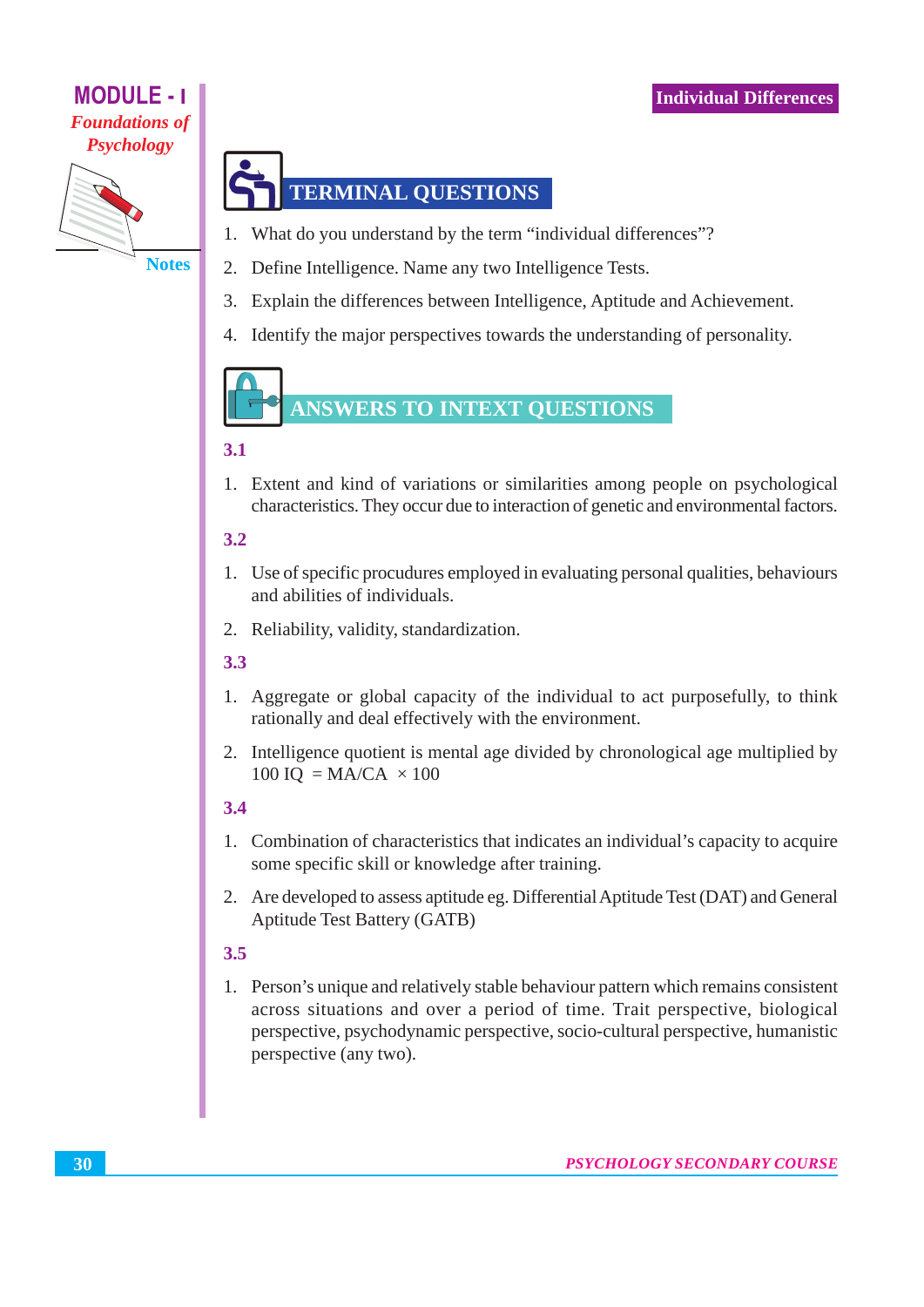#### **MODULE - I Foundations of Psychology**



# **TERMINAL QUESTIONS**

- $1 -$ What do you understand by the term "individual differences"?
- Define Intelligence. Name any two Intelligence Tests.  $2.$
- $3.$ Explain the differences between Intelligence, Aptitude and Achievement.
- 4. Identify the major perspectives towards the understanding of personality.

# ANSWERS TO INTEXT QUESTIONS

#### $3.1$

1. Extent and kind of variations or similarities among people on psychological characteristics. They occur due to interaction of genetic and environmental factors.

#### $3.2$

- 1. Use of specific procudures employed in evaluating personal qualities, behaviours and abilities of individuals.
- 2. Reliability, validity, standardization.

#### $3.3$

- 1. Aggregate or global capacity of the individual to act purposefully, to think rationally and deal effectively with the environment.
- 2. Intelligence quotient is mental age divided by chronological age multiplied by 100 IQ = MA/CA  $\times$  100

#### $3.4$

- 1. Combination of characteristics that indicates an individual's capacity to acquire some specific skill or knowledge after training.
- 2. Are developed to assess aptitude eg. Differential Aptitude Test (DAT) and General **Aptitude Test Battery (GATB)**

#### $3.5$

1. Person's unique and relatively stable behaviour pattern which remains consistent across situations and over a period of time. Trait perspective, biological perspective, psychodynamic perspective, socio-cultural perspective, humanistic perspective (any two).